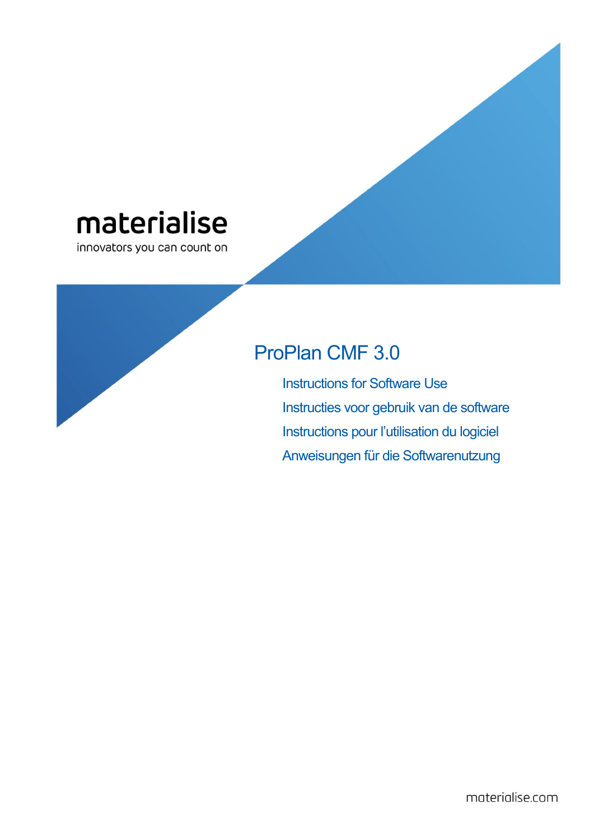# materialise

innovators you can count on

# ProPlan CMF 3.0

Instructions for Software Use Instructies voor gebruik van de software Instructions pour l'utilisation du logiciel Anweisungen für die Softwarenutzung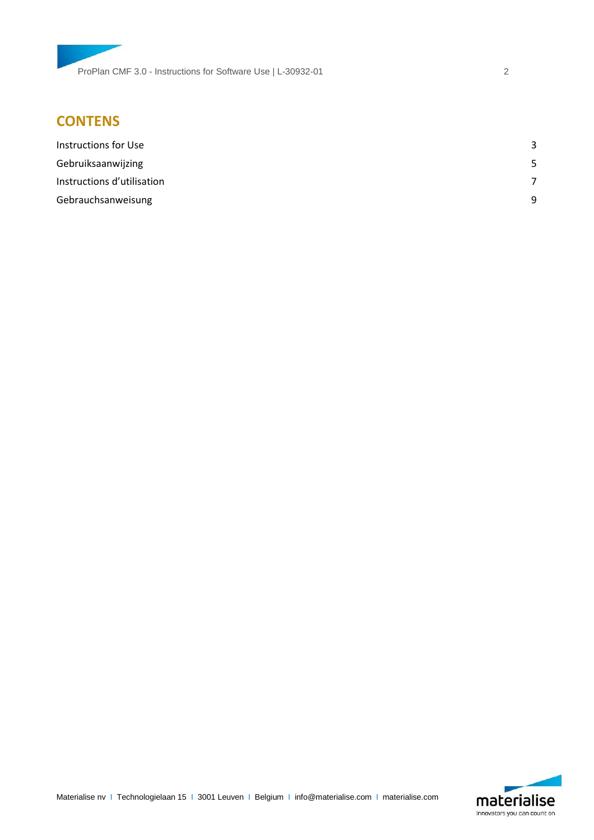# **CONTENS**

| Instructions for Use       | ર |
|----------------------------|---|
| Gebruiksaanwijzing         | 5 |
| Instructions d'utilisation |   |
| Gebrauchsanweisung         | q |

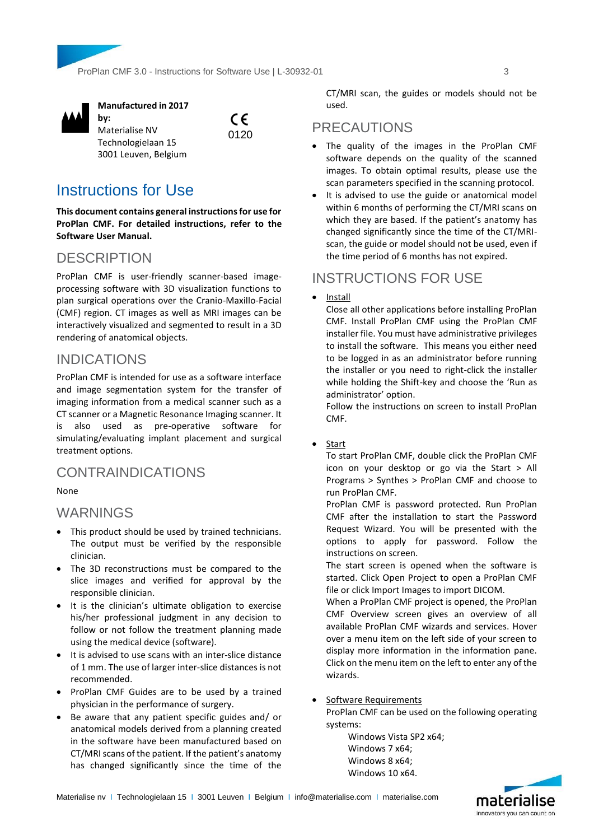ProPlan CMF 3.0 - Instructions for Software Use | L-30932-01 3



**Manufactured in 2017 by:** 



# <span id="page-2-0"></span>Instructions for Use

Materialise NV Technologielaan 15 3001 Leuven, Belgium

**This document contains general instructions for use for ProPlan CMF. For detailed instructions, refer to the Software User Manual.**

# **DESCRIPTION**

ProPlan CMF is user-friendly scanner-based imageprocessing software with 3D visualization functions to plan surgical operations over the Cranio-Maxillo-Facial (CMF) region. CT images as well as MRI images can be interactively visualized and segmented to result in a 3D rendering of anatomical objects.

# INDICATIONS

ProPlan CMF is intended for use as a software interface and image segmentation system for the transfer of imaging information from a medical scanner such as a CT scanner or a Magnetic Resonance Imaging scanner. It is also used as pre-operative software for simulating/evaluating implant placement and surgical treatment options.

# CONTRAINDICATIONS

None

# WARNINGS

- This product should be used by trained technicians. The output must be verified by the responsible clinician.
- The 3D reconstructions must be compared to the slice images and verified for approval by the responsible clinician.
- It is the clinician's ultimate obligation to exercise his/her professional judgment in any decision to follow or not follow the treatment planning made using the medical device (software).
- It is advised to use scans with an inter-slice distance of 1 mm. The use of larger inter-slice distances is not recommended.
- ProPlan CMF Guides are to be used by a trained physician in the performance of surgery.
- Be aware that any patient specific guides and/ or anatomical models derived from a planning created in the software have been manufactured based on CT/MRI scans of the patient. If the patient's anatomy has changed significantly since the time of the

CT/MRI scan, the guides or models should not be used.

# PRECAUTIONS

- The quality of the images in the ProPlan CMF software depends on the quality of the scanned images. To obtain optimal results, please use the scan parameters specified in the scanning protocol.
- It is advised to use the guide or anatomical model within 6 months of performing the CT/MRI scans on which they are based. If the patient's anatomy has changed significantly since the time of the CT/MRIscan, the guide or model should not be used, even if the time period of 6 months has not expired.

# INSTRUCTIONS FOR USE

• Install

Close all other applications before installing ProPlan CMF. Install ProPlan CMF using the ProPlan CMF installer file. You must have administrative privileges to install the software. This means you either need to be logged in as an administrator before running the installer or you need to right-click the installer while holding the Shift-key and choose the 'Run as administrator' option.

Follow the instructions on screen to install ProPlan CMF.

• Start

To start ProPlan CMF, double click the ProPlan CMF icon on your desktop or go via the Start > All Programs > Synthes > ProPlan CMF and choose to run ProPlan CMF.

ProPlan CMF is password protected. Run ProPlan CMF after the installation to start the Password Request Wizard. You will be presented with the options to apply for password. Follow the instructions on screen.

The start screen is opened when the software is started. Click Open Project to open a ProPlan CMF file or click Import Images to import DICOM.

When a ProPlan CMF project is opened, the ProPlan CMF Overview screen gives an overview of all available ProPlan CMF wizards and services. Hover over a menu item on the left side of your screen to display more information in the information pane. Click on the menu item on the left to enter any of the wizards.

Software Requirements

ProPlan CMF can be used on the following operating systems:

Windows Vista SP2 x64; Windows 7 x64; Windows 8 x64; Windows 10 x64.



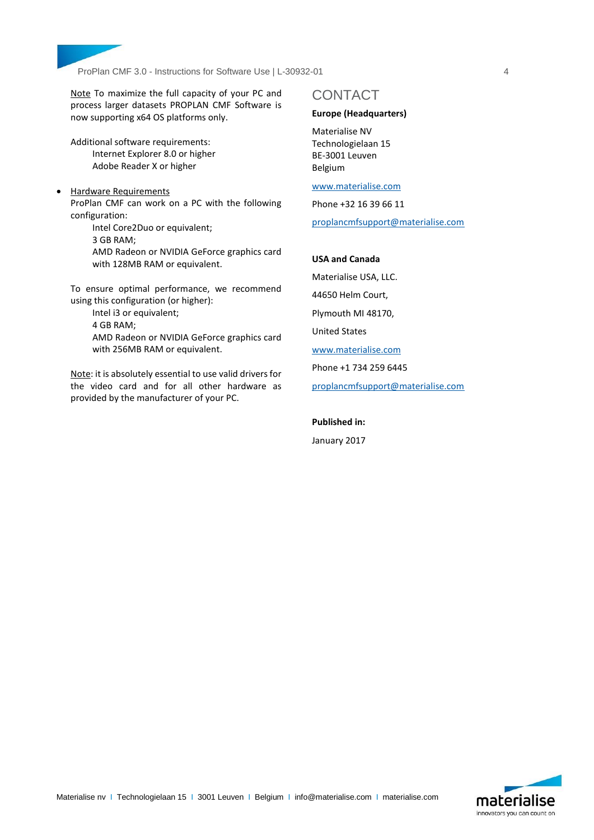

Note To maximize the full capacity of your PC and process larger datasets PROPLAN CMF Software is now supporting x64 OS platforms only.

Additional software requirements: Internet Explorer 8.0 or higher Adobe Reader X or higher

• Hardware Requirements ProPlan CMF can work on a PC with the following configuration:

Intel Core2Duo or equivalent;

3 GB RAM;

AMD Radeon or NVIDIA GeForce graphics card with 128MB RAM or equivalent.

To ensure optimal performance, we recommend using this configuration (or higher):

> Intel i3 or equivalent; 4 GB RAM; AMD Radeon or NVIDIA GeForce graphics card with 256MB RAM or equivalent.

Note: it is absolutely essential to use valid drivers for the video card and for all other hardware as provided by the manufacturer of your PC.

# CONTACT

### **Europe (Headquarters)**

Materialise NV Technologielaan 15 BE-3001 Leuven Belgium

[www.materialise.com](http://www.materialise.com/)

Phone +32 16 39 66 11

[proplancmfsupport@materialise.com](mailto:proplancmfsupport@materialise.com)

### **USA and Canada**

Materialise USA, LLC. 44650 Helm Court, Plymouth MI 48170, United States [www.materialise.com](http://www.materialise.com/) Phone +1 734 259 6445 [proplancmfsupport@materialise.com](mailto:proplancmfsupport@materialise.com)

**Published in:**

January 2017

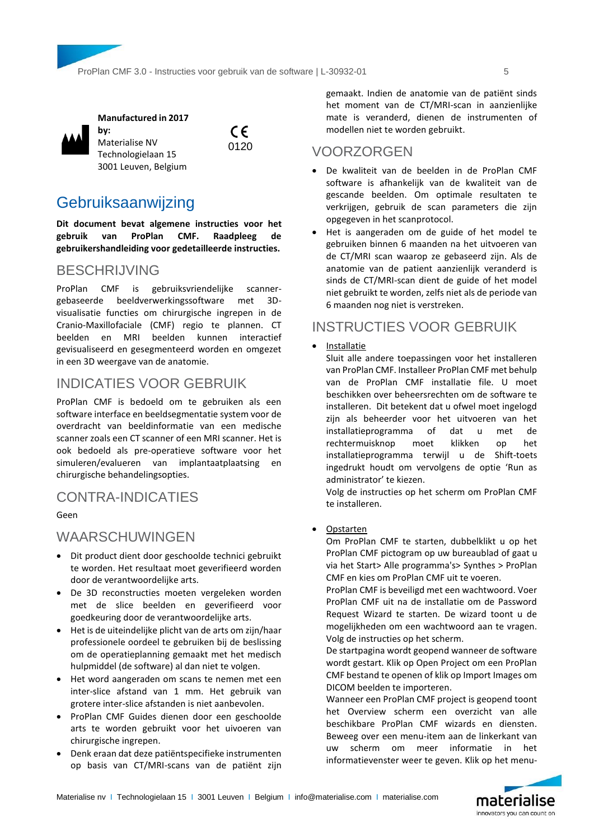

**Manufactured in 2017** 

**by:**  Materialise NV Technologielaan 15 3001 Leuven, Belgium

0120

 $\epsilon$ 

# <span id="page-4-0"></span>**Gebruiksaanwijzing**

**Dit document bevat algemene instructies voor het gebruik van ProPlan CMF. Raadpleeg de gebruikershandleiding voor gedetailleerde instructies.**

# BESCHRIJVING

ProPlan CMF is gebruiksvriendelijke scannergebaseerde beeldverwerkingssoftware met 3Dvisualisatie functies om chirurgische ingrepen in de Cranio-Maxillofaciale (CMF) regio te plannen. CT beelden en MRI beelden kunnen interactief gevisualiseerd en gesegmenteerd worden en omgezet in een 3D weergave van de anatomie.

# INDICATIES VOOR GEBRUIK

ProPlan CMF is bedoeld om te gebruiken als een software interface en beeldsegmentatie system voor de overdracht van beeldinformatie van een medische scanner zoals een CT scanner of een MRI scanner. Het is ook bedoeld als pre-operatieve software voor het simuleren/evalueren van implantaatplaatsing en chirurgische behandelingsopties.

# CONTRA-INDICATIES

Geen

# WAARSCHUWINGEN

- Dit product dient door geschoolde technici gebruikt te worden. Het resultaat moet geverifieerd worden door de verantwoordelijke arts.
- De 3D reconstructies moeten vergeleken worden met de slice beelden en geverifieerd voor goedkeuring door de verantwoordelijke arts.
- Het is de uiteindelijke plicht van de arts om zijn/haar professionele oordeel te gebruiken bij de beslissing om de operatieplanning gemaakt met het medisch hulpmiddel (de software) al dan niet te volgen.
- Het word aangeraden om scans te nemen met een inter-slice afstand van 1 mm. Het gebruik van grotere inter-slice afstanden is niet aanbevolen.
- ProPlan CMF Guides dienen door een geschoolde arts te worden gebruikt voor het uivoeren van chirurgische ingrepen.
- Denk eraan dat deze patiëntspecifieke instrumenten op basis van CT/MRI-scans van de patiënt zijn

gemaakt. Indien de anatomie van de patiënt sinds het moment van de CT/MRI-scan in aanzienlijke mate is veranderd, dienen de instrumenten of modellen niet te worden gebruikt.

### VOORZORGEN

- De kwaliteit van de beelden in de ProPlan CMF software is afhankelijk van de kwaliteit van de gescande beelden. Om optimale resultaten te verkrijgen, gebruik de scan parameters die zijn opgegeven in het scanprotocol.
- Het is aangeraden om de guide of het model te gebruiken binnen 6 maanden na het uitvoeren van de CT/MRI scan waarop ze gebaseerd zijn. Als de anatomie van de patient aanzienlijk veranderd is sinds de CT/MRI-scan dient de guide of het model niet gebruikt te worden, zelfs niet als de periode van 6 maanden nog niet is verstreken.

# INSTRUCTIES VOOR GEBRUIK

Installatie

Sluit alle andere toepassingen voor het installeren van ProPlan CMF. Installeer ProPlan CMF met behulp van de ProPlan CMF installatie file. U moet beschikken over beheersrechten om de software te installeren. Dit betekent dat u ofwel moet ingelogd zijn als beheerder voor het uitvoeren van het installatieprogramma of dat u met de rechtermuisknop moet klikken op het installatieprogramma terwijl u de Shift-toets ingedrukt houdt om vervolgens de optie 'Run as administrator' te kiezen.

Volg de instructies op het scherm om ProPlan CMF te installeren.

Opstarten

Om ProPlan CMF te starten, dubbelklikt u op het ProPlan CMF pictogram op uw bureaublad of gaat u via het Start> Alle programma's> Synthes > ProPlan CMF en kies om ProPlan CMF uit te voeren.

ProPlan CMF is beveiligd met een wachtwoord. Voer ProPlan CMF uit na de installatie om de Password Request Wizard te starten. De wizard toont u de mogelijkheden om een wachtwoord aan te vragen. Volg de instructies op het scherm.

De startpagina wordt geopend wanneer de software wordt gestart. Klik op Open Project om een ProPlan CMF bestand te openen of klik op Import Images om DICOM beelden te importeren.

Wanneer een ProPlan CMF project is geopend toont het Overview scherm een overzicht van alle beschikbare ProPlan CMF wizards en diensten. Beweeg over een menu-item aan de linkerkant van uw scherm om meer informatie in het informatievenster weer te geven. Klik op het menu-

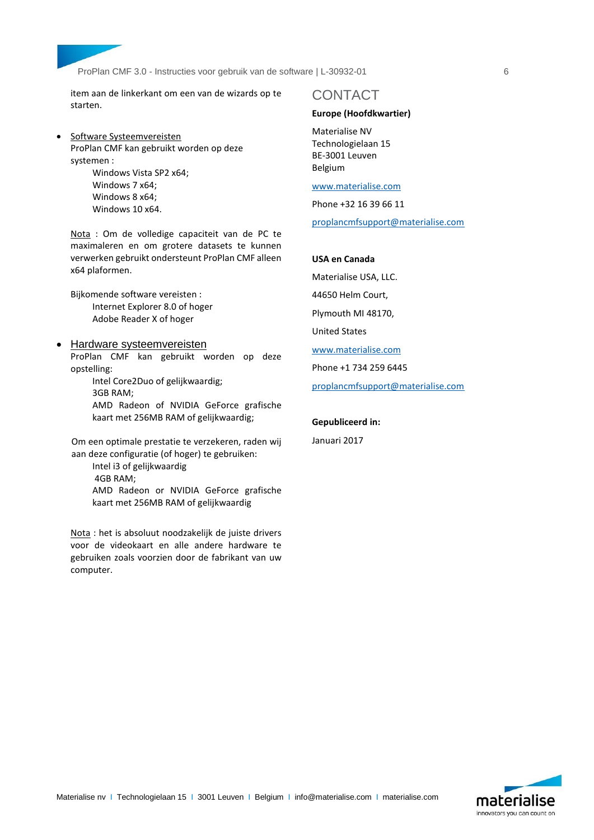ProPlan CMF 3.0 - Instructies voor gebruik van de software | L-30932-01 6

item aan de linkerkant om een van de wizards op te starten.

**Software Systeemvereisten** ProPlan CMF kan gebruikt worden op deze systemen : Windows Vista SP2 x64;

Windows 7 x64; Windows 8 x64; Windows 10 x64.

Nota : Om de volledige capaciteit van de PC te maximaleren en om grotere datasets te kunnen verwerken gebruikt ondersteunt ProPlan CMF alleen x64 plaformen.

Bijkomende software vereisten : Internet Explorer 8.0 of hoger Adobe Reader X of hoger

 Hardware systeemvereisten ProPlan CMF kan gebruikt worden op deze opstelling:

> Intel Core2Duo of gelijkwaardig; 3GB RAM; AMD Radeon of NVIDIA GeForce grafische kaart met 256MB RAM of gelijkwaardig;

Om een optimale prestatie te verzekeren, raden wij aan deze configuratie (of hoger) te gebruiken:

Intel i3 of gelijkwaardig 4GB RAM; AMD Radeon or NVIDIA GeForce grafische kaart met 256MB RAM of gelijkwaardig

Nota : het is absoluut noodzakelijk de juiste drivers voor de videokaart en alle andere hardware te gebruiken zoals voorzien door de fabrikant van uw computer.

### CONTACT

### **Europe (Hoofdkwartier)**

Materialise NV Technologielaan 15 BE-3001 Leuven Belgium

[www.materialise.com](http://www.materialise.com/)

Phone +32 16 39 66 11

[proplancmfsupport@materialise.com](mailto:proplancmfsupport@materialise.com)

### **USA en Canada**

Materialise USA, LLC. 44650 Helm Court, Plymouth MI 48170, United States [www.materialise.com](http://www.materialise.com/) Phone +1 734 259 6445 [proplancmfsupport@materialise.com](mailto:proplancmfsupport@materialise.com)

#### **Gepubliceerd in:**

Januari 2017

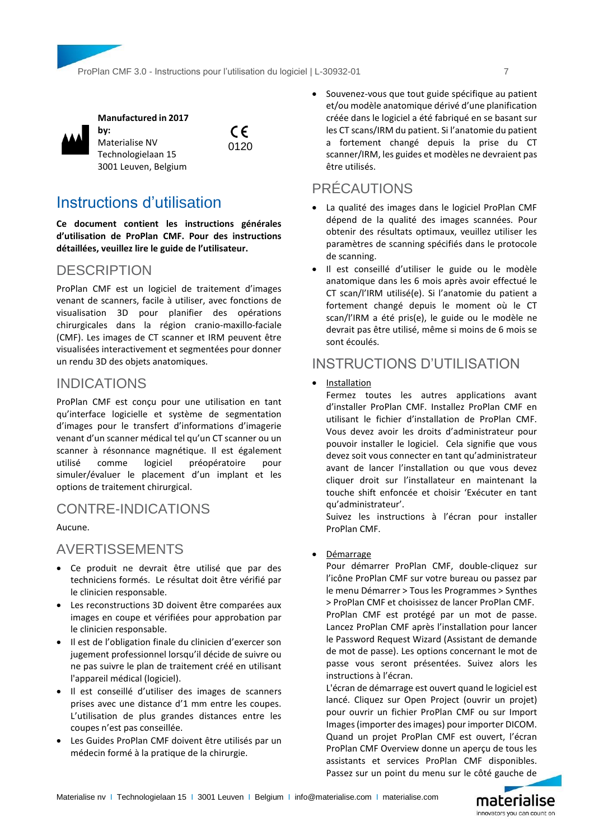



**Manufactured in 2017** 

**by:**  Materialise NV Technologielaan 15 3001 Leuven, Belgium

0120

 $\epsilon$ 

# <span id="page-6-0"></span>Instructions d'utilisation

**Ce document contient les instructions générales d'utilisation de ProPlan CMF. Pour des instructions détaillées, veuillez lire le guide de l'utilisateur.**

# **DESCRIPTION**

ProPlan CMF est un logiciel de traitement d'images venant de scanners, facile à utiliser, avec fonctions de visualisation 3D pour planifier des opérations chirurgicales dans la région cranio-maxillo-faciale (CMF). Les images de CT scanner et IRM peuvent être visualisées interactivement et segmentées pour donner un rendu 3D des objets anatomiques.

# INDICATIONS

ProPlan CMF est conçu pour une utilisation en tant qu'interface logicielle et système de segmentation d'images pour le transfert d'informations d'imagerie venant d'un scanner médical tel qu'un CT scanner ou un scanner à résonnance magnétique. Il est également utilisé comme logiciel préopératoire pour simuler/évaluer le placement d'un implant et les options de traitement chirurgical.

# CONTRE-INDICATIONS

Aucune.

# AVERTISSEMENTS

- Ce produit ne devrait être utilisé que par des techniciens formés. Le résultat doit être vérifié par le clinicien responsable.
- Les reconstructions 3D doivent être comparées aux images en coupe et vérifiées pour approbation par le clinicien responsable.
- Il est de l'obligation finale du clinicien d'exercer son jugement professionnel lorsqu'il décide de suivre ou ne pas suivre le plan de traitement créé en utilisant l'appareil médical (logiciel).
- Il est conseillé d'utiliser des images de scanners prises avec une distance d'1 mm entre les coupes. L'utilisation de plus grandes distances entre les coupes n'est pas conseillée.
- Les Guides ProPlan CMF doivent être utilisés par un médecin formé à la pratique de la chirurgie.

 Souvenez-vous que tout guide spécifique au patient et/ou modèle anatomique dérivé d'une planification créée dans le logiciel a été fabriqué en se basant sur les CT scans/IRM du patient. Si l'anatomie du patient a fortement changé depuis la prise du CT scanner/IRM, les guides et modèles ne devraient pas être utilisés.

# PRÉCAUTIONS

- La qualité des images dans le logiciel ProPlan CMF dépend de la qualité des images scannées. Pour obtenir des résultats optimaux, veuillez utiliser les paramètres de scanning spécifiés dans le protocole de scanning.
- Il est conseillé d'utiliser le guide ou le modèle anatomique dans les 6 mois après avoir effectué le CT scan/l'IRM utilisé(e). Si l'anatomie du patient a fortement changé depuis le moment où le CT scan/l'IRM a été pris(e), le guide ou le modèle ne devrait pas être utilisé, même si moins de 6 mois se sont écoulés.

# INSTRUCTIONS D'UTILISATION

**Installation** 

Fermez toutes les autres applications avant d'installer ProPlan CMF. Installez ProPlan CMF en utilisant le fichier d'installation de ProPlan CMF. Vous devez avoir les droits d'administrateur pour pouvoir installer le logiciel. Cela signifie que vous devez soit vous connecter en tant qu'administrateur avant de lancer l'installation ou que vous devez cliquer droit sur l'installateur en maintenant la touche shift enfoncée et choisir 'Exécuter en tant qu'administrateur'.

Suivez les instructions à l'écran pour installer ProPlan CMF.

Démarrage

Pour démarrer ProPlan CMF, double-cliquez sur l'icône ProPlan CMF sur votre bureau ou passez par le menu Démarrer > Tous les Programmes > Synthes > ProPlan CMF et choisissez de lancer ProPlan CMF. ProPlan CMF est protégé par un mot de passe. Lancez ProPlan CMF après l'installation pour lancer le Password Request Wizard (Assistant de demande de mot de passe). Les options concernant le mot de passe vous seront présentées. Suivez alors les instructions à l'écran.

L'écran de démarrage est ouvert quand le logiciel est lancé. Cliquez sur Open Project (ouvrir un projet) pour ouvrir un fichier ProPlan CMF ou sur Import Images (importer des images) pour importer DICOM. Quand un projet ProPlan CMF est ouvert, l'écran ProPlan CMF Overview donne un aperçu de tous les assistants et services ProPlan CMF disponibles. Passez sur un point du menu sur le côté gauche de

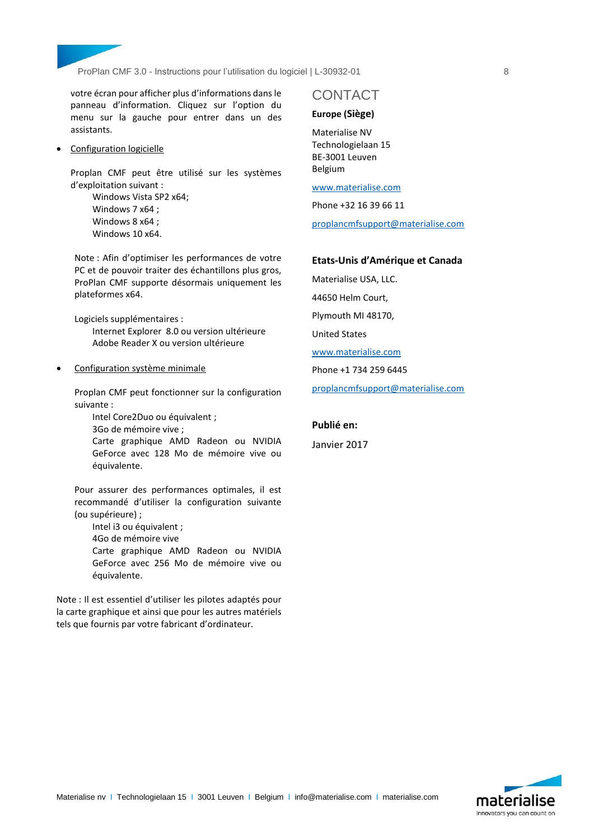

votre écran pour afficher plus d'informations dans le panneau d'information. Cliquez sur l'option du menu sur la gauche pour entrer dans un des assistants.

Configuration logicielle

Proplan CMF peut être utilisé sur les systèmes d'exploitation suivant :

> Windows Vista SP2 x64; Windows 7 x64 ; Windows 8 x64 ; Windows 10 x64.

Note : Afin d'optimiser les performances de votre PC et de pouvoir traiter des échantillons plus gros, ProPlan CMF supporte désormais uniquement les plateformes x64.

Logiciels supplémentaires :

Internet Explorer 8.0 ou version ultérieure Adobe Reader X ou version ultérieure

Configuration système minimale

Proplan CMF peut fonctionner sur la configuration suivante :

Intel Core2Duo ou équivalent ;

3Go de mémoire vive ;

Carte graphique AMD Radeon ou NVIDIA GeForce avec 128 Mo de mémoire vive ou équivalente.

Pour assurer des performances optimales, il est recommandé d'utiliser la configuration suivante (ou supérieure) ;

Intel i3 ou équivalent ;

4Go de mémoire vive

Carte graphique AMD Radeon ou NVIDIA GeForce avec 256 Mo de mémoire vive ou équivalente.

Note : Il est essentiel d'utiliser les pilotes adaptés pour la carte graphique et ainsi que pour les autres matériels tels que fournis par votre fabricant d'ordinateur.

### CONTACT

### **Europe (Siège)**

Materialise NV Technologielaan 15 BE-3001 Leuven Belgium

[www.materialise.com](http://www.materialise.com/)

Phone +32 16 39 66 11 [proplancmfsupport@materialise.com](mailto:proplancmfsupport@materialise.com)

### **Etats-Unis d'Amérique et Canada**

Materialise USA, LLC.

44650 Helm Court,

Plymouth MI 48170,

United States

[www.materialise.com](http://www.materialise.com/)

Phone +1 734 259 6445

[proplancmfsupport@materialise.com](mailto:proplancmfsupport@materialise.com)

### **Publié en:**

Janvier 2017

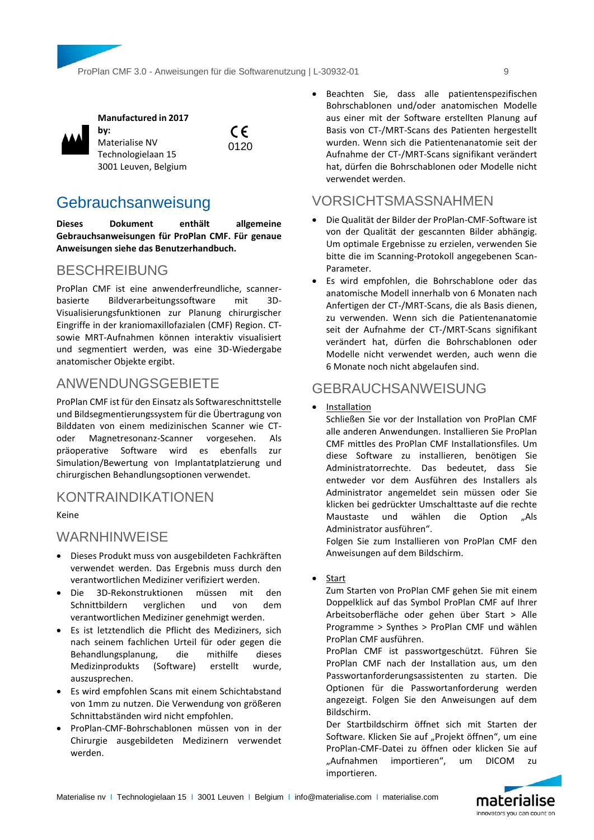$\epsilon$ 0120



### **Manufactured in 2017**

**by:**  Materialise NV Technologielaan 15 3001 Leuven, Belgium

<span id="page-8-0"></span>Gebrauchsanweisung

**Dieses Dokument enthält allgemeine Gebrauchsanweisungen für ProPlan CMF. Für genaue Anweisungen siehe das Benutzerhandbuch.**

# BESCHREIBUNG

ProPlan CMF ist eine anwenderfreundliche, scanner-<br>basierte Bildverarbeitungssoftware mit 3D-Bildverarbeitungssoftware mit 3D-Visualisierungsfunktionen zur Planung chirurgischer Eingriffe in der kraniomaxillofazialen (CMF) Region. CTsowie MRT-Aufnahmen können interaktiv visualisiert und segmentiert werden, was eine 3D-Wiedergabe anatomischer Objekte ergibt.

# ANWENDUNGSGEBIETE

ProPlan CMF ist für den Einsatz als Softwareschnittstelle und Bildsegmentierungssystem für die Übertragung von Bilddaten von einem medizinischen Scanner wie CToder Magnetresonanz-Scanner vorgesehen. Als präoperative Software wird es ebenfalls zur Simulation/Bewertung von Implantatplatzierung und chirurgischen Behandlungsoptionen verwendet.

# KONTRAINDIKATIONEN

Keine

# WARNHINWEISE

- Dieses Produkt muss von ausgebildeten Fachkräften verwendet werden. Das Ergebnis muss durch den verantwortlichen Mediziner verifiziert werden.
- Die 3D-Rekonstruktionen müssen mit den Schnittbildern verglichen und von dem verantwortlichen Mediziner genehmigt werden.
- Es ist letztendlich die Pflicht des Mediziners, sich nach seinem fachlichen Urteil für oder gegen die Behandlungsplanung, die mithilfe dieses Medizinprodukts (Software) erstellt wurde, auszusprechen.
- Es wird empfohlen Scans mit einem Schichtabstand von 1mm zu nutzen. Die Verwendung von größeren Schnittabständen wird nicht empfohlen.
- ProPlan-CMF-Bohrschablonen müssen von in der Chirurgie ausgebildeten Medizinern verwendet werden.

 Beachten Sie, dass alle patientenspezifischen Bohrschablonen und/oder anatomischen Modelle aus einer mit der Software erstellten Planung auf Basis von CT-/MRT-Scans des Patienten hergestellt wurden. Wenn sich die Patientenanatomie seit der Aufnahme der CT-/MRT-Scans signifikant verändert hat, dürfen die Bohrschablonen oder Modelle nicht verwendet werden.

# VORSICHTSMASSNAHMEN

- Die Qualität der Bilder der ProPlan-CMF-Software ist von der Qualität der gescannten Bilder abhängig. Um optimale Ergebnisse zu erzielen, verwenden Sie bitte die im Scanning-Protokoll angegebenen Scan-Parameter.
- Es wird empfohlen, die Bohrschablone oder das anatomische Modell innerhalb von 6 Monaten nach Anfertigen der CT-/MRT-Scans, die als Basis dienen, zu verwenden. Wenn sich die Patientenanatomie seit der Aufnahme der CT-/MRT-Scans signifikant verändert hat, dürfen die Bohrschablonen oder Modelle nicht verwendet werden, auch wenn die 6 Monate noch nicht abgelaufen sind.

# GEBRAUCHSANWEISUNG

Installation

Schließen Sie vor der Installation von ProPlan CMF alle anderen Anwendungen. Installieren Sie ProPlan CMF mittles des ProPlan CMF Installationsfiles. Um diese Software zu installieren, benötigen Sie Administratorrechte. Das bedeutet, dass Sie entweder vor dem Ausführen des Installers als Administrator angemeldet sein müssen oder Sie klicken bei gedrückter Umschalttaste auf die rechte Maustaste und wählen die Option "Als Administrator ausführen".

Folgen Sie zum Installieren von ProPlan CMF den Anweisungen auf dem Bildschirm.

• Start

Zum Starten von ProPlan CMF gehen Sie mit einem Doppelklick auf das Symbol ProPlan CMF auf Ihrer Arbeitsoberfläche oder gehen über Start > Alle Programme > Synthes > ProPlan CMF und wählen ProPlan CMF ausführen.

ProPlan CMF ist passwortgeschützt. Führen Sie ProPlan CMF nach der Installation aus, um den Passwortanforderungsassistenten zu starten. Die Optionen für die Passwortanforderung werden angezeigt. Folgen Sie den Anweisungen auf dem Bildschirm.

Der Startbildschirm öffnet sich mit Starten der Software. Klicken Sie auf "Projekt öffnen", um eine ProPlan-CMF-Datei zu öffnen oder klicken Sie auf "Aufnahmen importieren", um DICOM zu importieren.